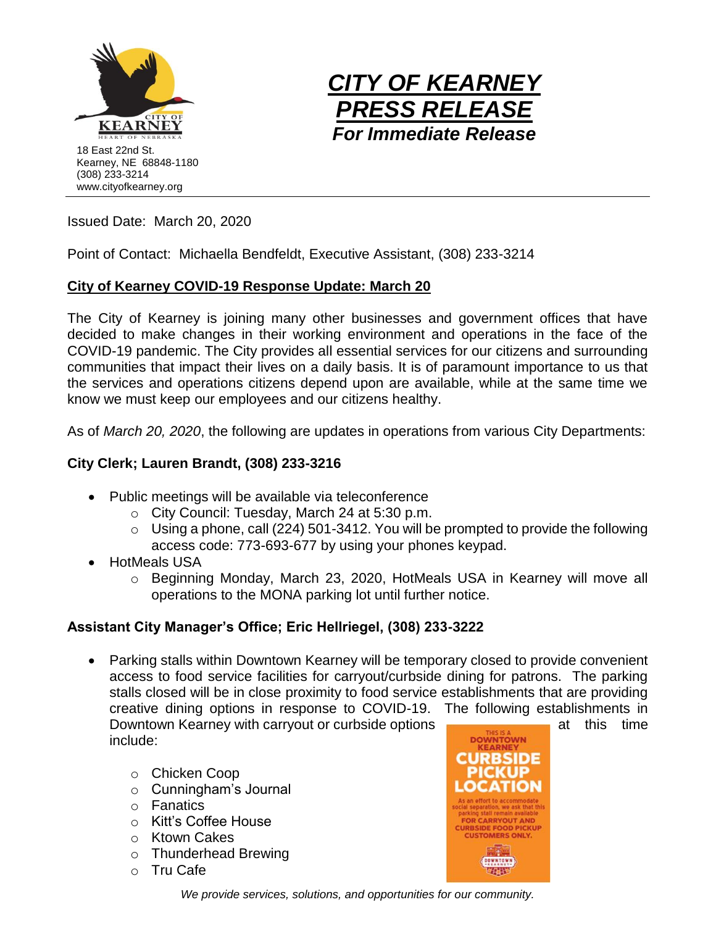



Issued Date: March 20, 2020

Point of Contact: Michaella Bendfeldt, Executive Assistant, (308) 233-3214

# **City of Kearney COVID-19 Response Update: March 20**

The City of Kearney is joining many other businesses and government offices that have decided to make changes in their working environment and operations in the face of the COVID-19 pandemic. The City provides all essential services for our citizens and surrounding communities that impact their lives on a daily basis. It is of paramount importance to us that the services and operations citizens depend upon are available, while at the same time we know we must keep our employees and our citizens healthy.

As of *March 20, 2020*, the following are updates in operations from various City Departments:

# **City Clerk; Lauren Brandt, (308) 233-3216**

- Public meetings will be available via teleconference
	- o City Council: Tuesday, March 24 at 5:30 p.m.
	- $\circ$  Using a phone, call (224) 501-3412. You will be prompted to provide the following access code: 773-693-677 by using your phones keypad.
- HotMeals USA
	- o Beginning Monday, March 23, 2020, HotMeals USA in Kearney will move all operations to the MONA parking lot until further notice.

# **Assistant City Manager's Office; Eric Hellriegel, (308) 233-3222**

- Parking stalls within Downtown Kearney will be temporary closed to provide convenient access to food service facilities for carryout/curbside dining for patrons. The parking stalls closed will be in close proximity to food service establishments that are providing creative dining options in response to COVID-19. The following establishments in Downtown Kearney with carryout or curbside options and this time include:
	- o Chicken Coop
	- o Cunningham's Journal
	- o Fanatics
	- o Kitt's Coffee House
	- o Ktown Cakes
	- o Thunderhead Brewing
	- o Tru Cafe



*We provide services, solutions, and opportunities for our community.*